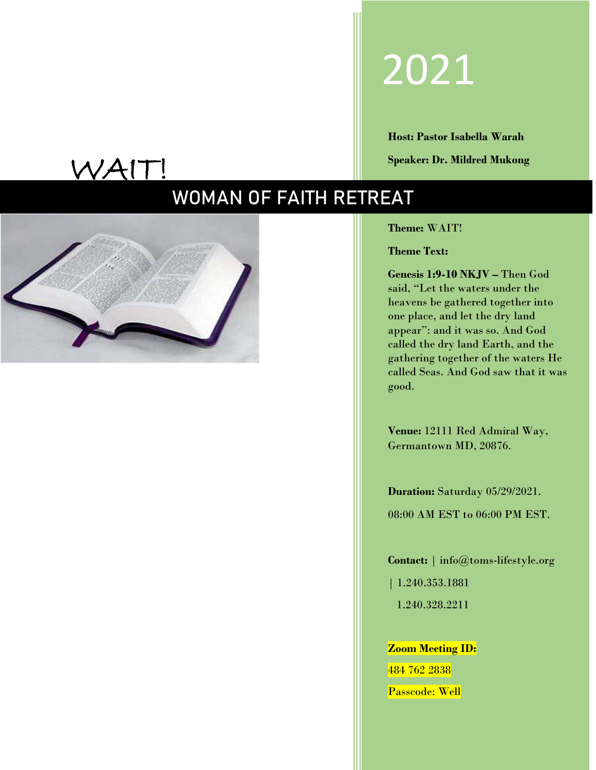# 2021

**Host: Pastor Isabella Warah Speaker: Dr. Mildred Mukong**

# WAIT!

# **WOMAN OF FAITH RETREAT**



**Theme:** WAIT!

**Theme Text:**

**Genesis 1:9-10 NKJV –** Then God said, "Let the waters under the heavens be gathered together into one place, and let the dry land appear": and it was so. And God called the dry land Earth, and the gathering together of the waters He called Seas. And God saw that it was good.

**Venue:** 12111 Red Admiral Way, Germantown MD, 20876.

**Duration:** Saturday 05/29/2021. 08:00 AM EST to 06:00 PM EST.

**Contact:** | info@toms-lifestyl[e.org](mailto:theoutgiversministries@gmail.com)

| 1.240.353.1881 1.240.328.2211

**Zoom Meeting ID:** 484 762 2838

Passcode: Well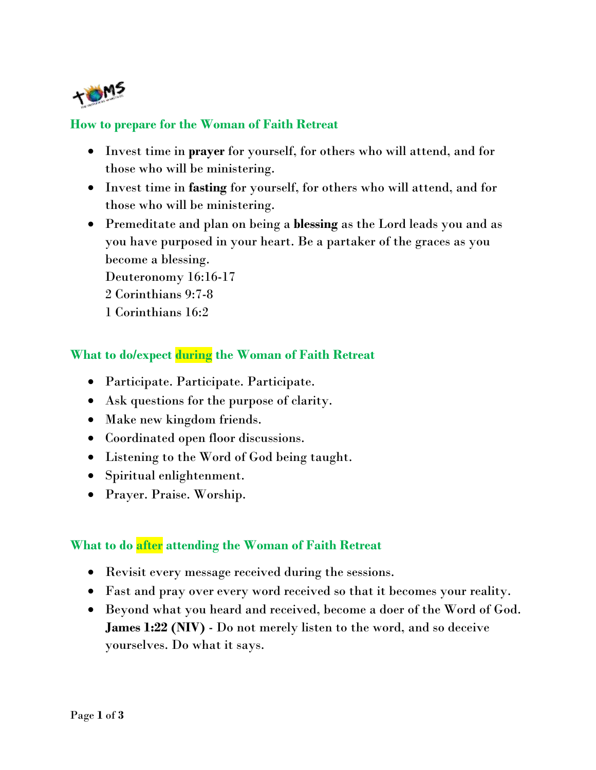

### **How to prepare for the Woman of Faith Retreat**

- Invest time in **prayer** for yourself, for others who will attend, and for those who will be ministering.
- Invest time in **fasting** for yourself, for others who will attend, and for those who will be ministering.
- Premeditate and plan on being a **blessing** as the Lord leads you and as you have purposed in your heart. Be a partaker of the graces as you become a blessing.

Deuteronomy 16:16-17

- 2 Corinthians 9:7-8
- 1 Corinthians 16:2

## **What to do/expect during the Woman of Faith Retreat**

- Participate. Participate. Participate.
- Ask questions for the purpose of clarity.
- Make new kingdom friends.
- Coordinated open floor discussions.
- Listening to the Word of God being taught.
- Spiritual enlightenment.
- Prayer. Praise. Worship.

## **What to do after attending the Woman of Faith Retreat**

- Revisit every message received during the sessions.
- Fast and pray over every word received so that it becomes your reality.
- Beyond what you heard and received, become a doer of the Word of God. **James 1:22 (NIV)** - Do not merely listen to the word, and so deceive yourselves. Do what it says.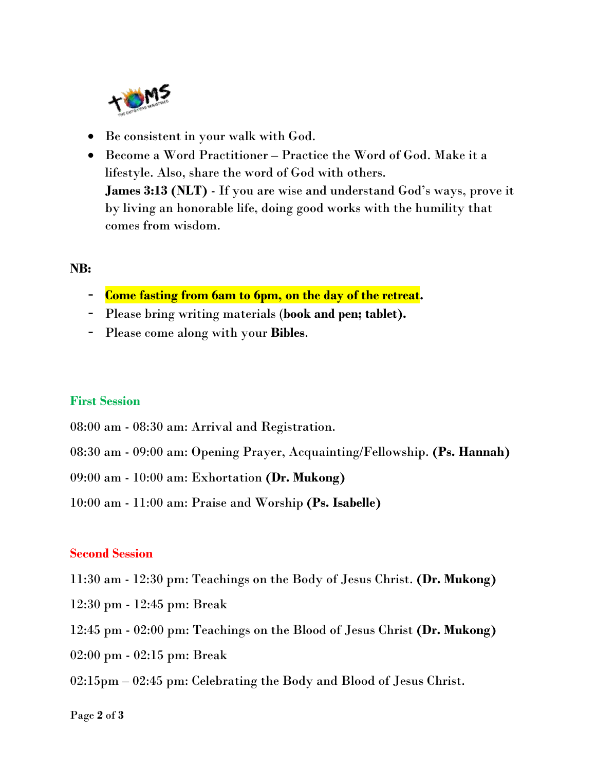

- Be consistent in your walk with God.
- Become a Word Practitioner Practice the Word of God. Make it a lifestyle. Also, share the word of God with others. **James 3:13 (NLT)** - If you are wise and understand God's ways, prove it by living an honorable life, doing good works with the humility that comes from wisdom.

#### **NB:**

- **Come fasting from 6am to 6pm, on the day of the retreat.**
- Please bring writing materials (**book and pen; tablet).**
- Please come along with your **Bibles**.

#### **First Session**

- 08:00 am 08:30 am: Arrival and Registration.
- 08:30 am 09:00 am: Opening Prayer, Acquainting/Fellowship. **(Ps. Hannah)**
- 09:00 am 10:00 am: Exhortation **(Dr. Mukong)**
- 10:00 am 11:00 am: Praise and Worship **(Ps. Isabelle)**

#### **Second Session**

- 11:30 am 12:30 pm: Teachings on the Body of Jesus Christ. **(Dr. Mukong)**
- 12:30 pm 12:45 pm: Break
- 12:45 pm 02:00 pm: Teachings on the Blood of Jesus Christ **(Dr. Mukong)**
- 02:00 pm 02:15 pm: Break
- 02:15pm 02:45 pm: Celebrating the Body and Blood of Jesus Christ.